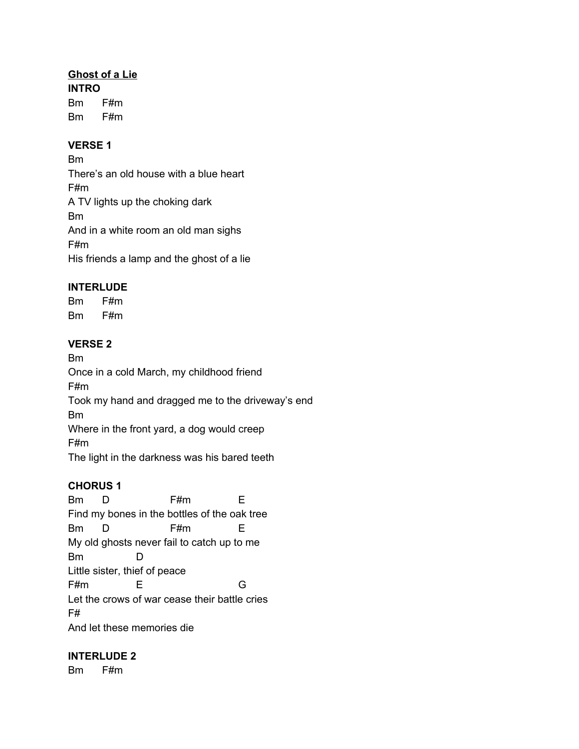### **Ghost of a Lie**

**INTRO** Bm F#m Bm F#m

#### **VERSE 1**

Bm There's an old house with a blue heart F#m A TV lights up the choking dark Bm And in a white room an old man sighs F#m His friends a lamp and the ghost of a lie

### **INTERLUDE**

Bm F#m Bm F#m

### **VERSE 2**

Bm Once in a cold March, my childhood friend F#m Took my hand and dragged me to the driveway's end Bm Where in the front yard, a dog would creep F#m The light in the darkness was his bared teeth

### **CHORUS 1**

Bm D F#m E Find my bones in the bottles of the oak tree Bm D F#m E My old ghosts never fail to catch up to me Bm D Little sister, thief of peace F#m E G Let the crows of war cease their battle cries F# And let these memories die

### **INTERLUDE 2**

Bm F#m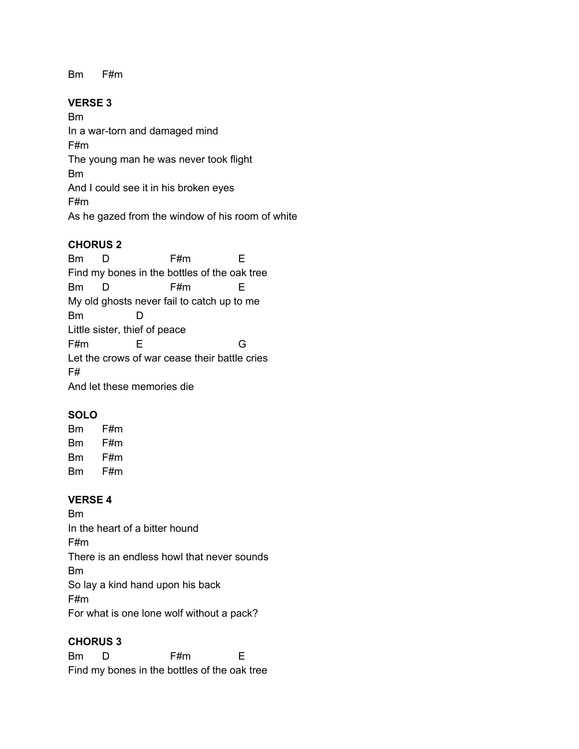Bm F#m

## **VERSE 3**

Bm In a war-torn and damaged mind F#m The young man he was never took flight Bm And I could see it in his broken eyes F#m As he gazed from the window of his room of white

## **CHORUS 2**

Bm D F#m E Find my bones in the bottles of the oak tree Bm D F#m E My old ghosts never fail to catch up to me Bm D Little sister, thief of peace F#m E G Let the crows of war cease their battle cries F# And let these memories die

# **SOLO**

Bm F#m Bm F#m Bm F#m Bm F#m

### **VERSE 4**

Bm In the heart of a bitter hound F#m There is an endless howl that never sounds Bm So lay a kind hand upon his back F#m For what is one lone wolf without a pack?

### **CHORUS 3**

Bm D F#m E Find my bones in the bottles of the oak tree